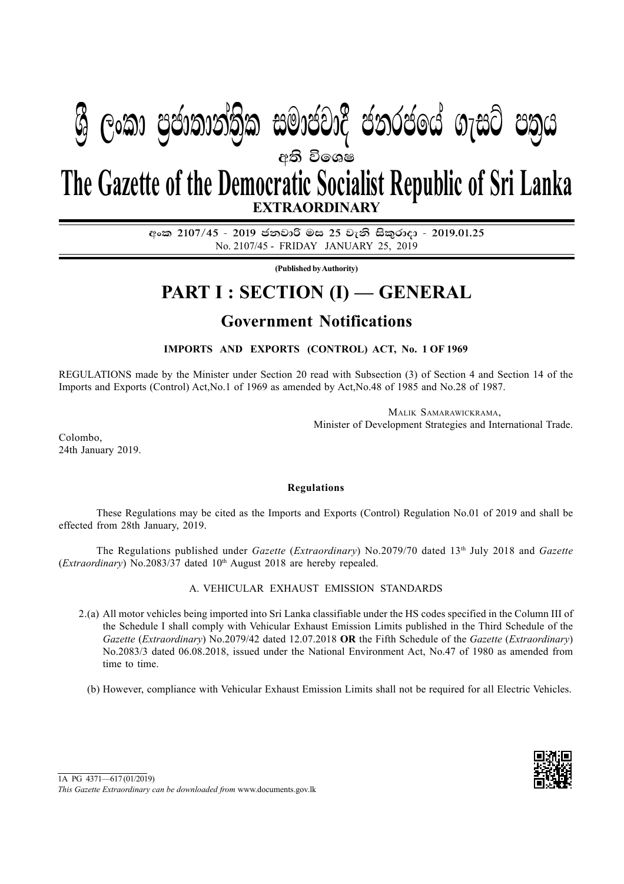# අති වි**ං**ශෂ **EXTRAORDINARY The Gazette of the Democratic Socialist Republic of Sri Lanka**

**ශී ලංකා පුජාතාන්තික සමාජවාදී ජනරජයේ ගැසට් පතුය** 

අංක 2107/45 - 2019 ජනවාරි මස 25 වැනි සිකුරාදා - 2019.01.25 No. 2107/45 - FRIDAY JANUARY 25, 2019

**(Published by Authority)**

## **PART I : SECTION (I) — GENERAL**

## **Government Notifications**

**IMPORTS AND EXPORTS (CONTROL) ACT, No. 1 OF 1969**

REGULATIONS made by the Minister under Section 20 read with Subsection (3) of Section 4 and Section 14 of the Imports and Exports (Control) Act,No.1 of 1969 as amended by Act,No.48 of 1985 and No.28 of 1987.

> MALIK SAMARAWICKRAMA, Minister of Development Strategies and International Trade.

Colombo, 24th January 2019.

### **Regulations**

These Regulations may be cited as the Imports and Exports (Control) Regulation No.01 of 2019 and shall be effected from 28th January, 2019.

The Regulations published under *Gazette* (*Extraordinary*) No.2079/70 dated 13th July 2018 and *Gazette* (*Extraordinary*) No.2083/37 dated 10<sup>th</sup> August 2018 are hereby repealed.

A. VEHICULAR EXHAUST EMISSION STANDARDS

- 2.(a) All motor vehicles being imported into Sri Lanka classifiable under the HS codes specified in the Column III of the Schedule I shall comply with Vehicular Exhaust Emission Limits published in the Third Schedule of the *Gazette* (*Extraordinary*) No.2079/42 dated 12.07.2018 **OR** the Fifth Schedule of the *Gazette* (*Extraordinary*) No.2083/3 dated 06.08.2018, issued under the National Environment Act, No.47 of 1980 as amended from time to time.
	- (b) However, compliance with Vehicular Exhaust Emission Limits shall not be required for all Electric Vehicles.

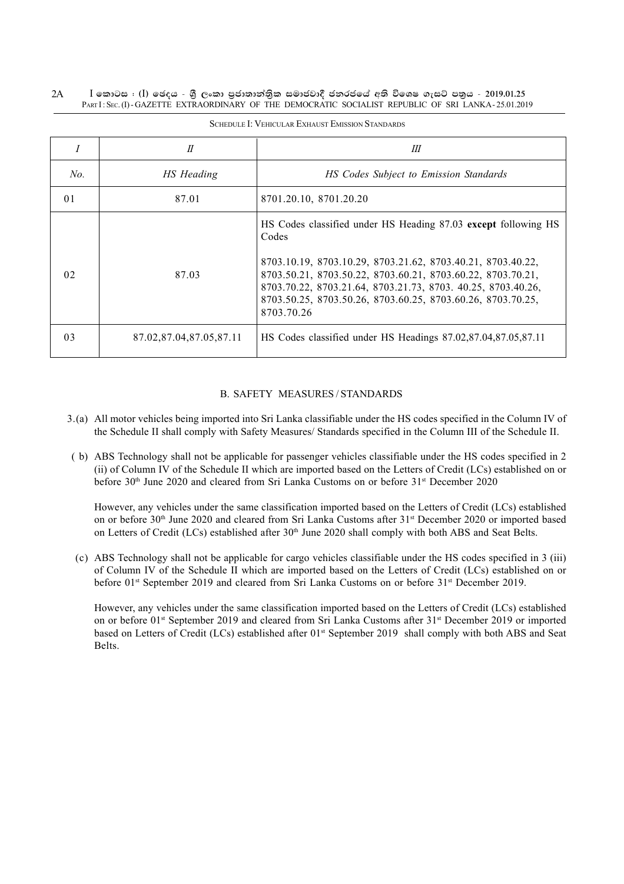#### $I$  කොටස : (I) ඡෙදය - ශීූ ලංකා පුජාතාන්තිුක සමාජවාදී ජනරජයේ අති විශෙෂ ගැසට් පතුය - 2019.01.25 PART I: SEC. (I) - GAZETTE EXTRAORDINARY OF THE DEMOCRATIC SOCIALIST REPUBLIC OF SRI LANKA - 25.01.2019 2A

|                | П                       | Ш                                                                                                                                                                                                                                                                                                                                                  |
|----------------|-------------------------|----------------------------------------------------------------------------------------------------------------------------------------------------------------------------------------------------------------------------------------------------------------------------------------------------------------------------------------------------|
| No.            | HS Heading              | HS Codes Subject to Emission Standards                                                                                                                                                                                                                                                                                                             |
| 0 <sub>1</sub> | 87.01                   | 8701.20.10, 8701.20.20                                                                                                                                                                                                                                                                                                                             |
| 02             | 87.03                   | HS Codes classified under HS Heading 87.03 except following HS<br>Codes<br>8703.10.19, 8703.10.29, 8703.21.62, 8703.40.21, 8703.40.22,<br>8703.50.21, 8703.50.22, 8703.60.21, 8703.60.22, 8703.70.21,<br>8703.70.22, 8703.21.64, 8703.21.73, 8703. 40.25, 8703.40.26,<br>8703.50.25, 8703.50.26, 8703.60.25, 8703.60.26, 8703.70.25,<br>8703.70.26 |
| 0 <sup>3</sup> | 87.02.87.04.87.05.87.11 | HS Codes classified under HS Headings 87.02,87.04,87.05,87.11                                                                                                                                                                                                                                                                                      |

SCHEDULE I: VEHICULAR EXHAUST EMISSION STANDARDS

### B. SAFETY MEASURES / STANDARDS

- 3.(a) All motor vehicles being imported into Sri Lanka classifiable under the HS codes specified in the Column IV of the Schedule II shall comply with Safety Measures/ Standards specified in the Column III of the Schedule II.
- ( b) ABS Technology shall not be applicable for passenger vehicles classifiable under the HS codes specified in 2 (ii) of Column IV of the Schedule II which are imported based on the Letters of Credit (LCs) established on or before 30<sup>th</sup> June 2020 and cleared from Sri Lanka Customs on or before 31<sup>st</sup> December 2020

However, any vehicles under the same classification imported based on the Letters of Credit (LCs) established on or before 30<sup>th</sup> June 2020 and cleared from Sri Lanka Customs after 31<sup>st</sup> December 2020 or imported based on Letters of Credit (LCs) established after 30<sup>th</sup> June 2020 shall comply with both ABS and Seat Belts.

(c) ABS Technology shall not be applicable for cargo vehicles classifiable under the HS codes specified in 3 (iii) of Column IV of the Schedule II which are imported based on the Letters of Credit (LCs) established on or before 01<sup>st</sup> September 2019 and cleared from Sri Lanka Customs on or before 31<sup>st</sup> December 2019.

However, any vehicles under the same classification imported based on the Letters of Credit (LCs) established on or before 01<sup>st</sup> September 2019 and cleared from Sri Lanka Customs after 31<sup>st</sup> December 2019 or imported based on Letters of Credit (LCs) established after 01<sup>st</sup> September 2019 shall comply with both ABS and Seat Belts.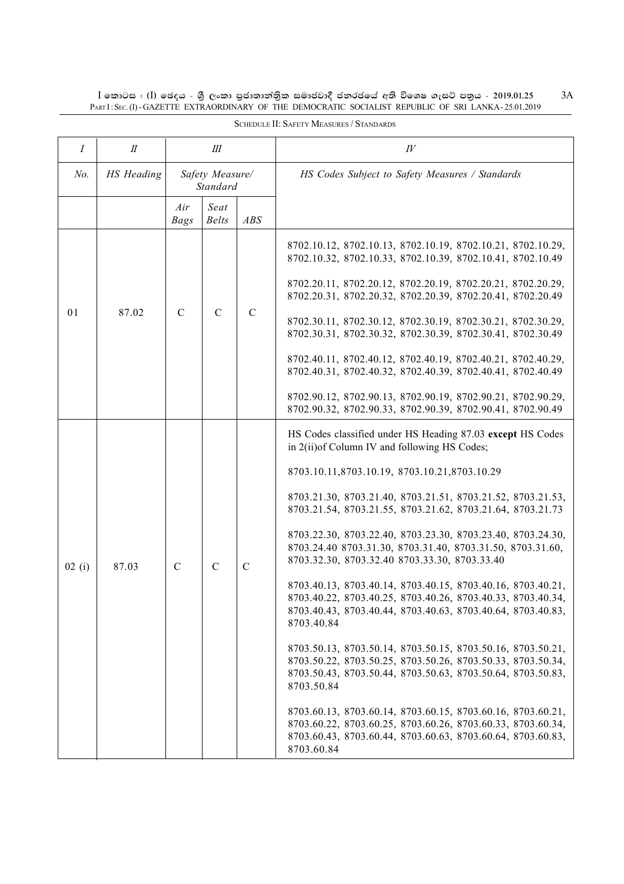$I$  කොටස : (I) ඡෙදය - ශුී ලංකා පුජාතාන්තුික සමාජවාදී ජනරජයේ අති විශෙෂ ගැසට් පතුය - 2019.01.25<br>PART I : SEC. (I)-GAZETTE EXTRAORDINARY OF THE DEMOCRATIC SOCIALIST REPUBLIC OF SRI LANKA-25.01.2019

| $\boldsymbol{I}$ | $I\!I$            | Ш                           |                      |               | $I\!V$                                                                                                                                                                                                                                                                                                                                                                                                                                                                                                                                                                                                                                                                                                                                                                                                                                                                                                                                                                                                                                                                                                  |
|------------------|-------------------|-----------------------------|----------------------|---------------|---------------------------------------------------------------------------------------------------------------------------------------------------------------------------------------------------------------------------------------------------------------------------------------------------------------------------------------------------------------------------------------------------------------------------------------------------------------------------------------------------------------------------------------------------------------------------------------------------------------------------------------------------------------------------------------------------------------------------------------------------------------------------------------------------------------------------------------------------------------------------------------------------------------------------------------------------------------------------------------------------------------------------------------------------------------------------------------------------------|
| $No$ .           | <b>HS</b> Heading | Safety Measure/<br>Standard |                      |               | HS Codes Subject to Safety Measures / Standards                                                                                                                                                                                                                                                                                                                                                                                                                                                                                                                                                                                                                                                                                                                                                                                                                                                                                                                                                                                                                                                         |
|                  |                   | Air<br><b>Bags</b>          | Seat<br><b>Belts</b> | ABS           |                                                                                                                                                                                                                                                                                                                                                                                                                                                                                                                                                                                                                                                                                                                                                                                                                                                                                                                                                                                                                                                                                                         |
| 01               | 87.02             | $\mathcal{C}$               | $\mathcal{C}$        | $\mathcal{C}$ | 8702.10.12, 8702.10.13, 8702.10.19, 8702.10.21, 8702.10.29,<br>8702.10.32, 8702.10.33, 8702.10.39, 8702.10.41, 8702.10.49<br>8702.20.11, 8702.20.12, 8702.20.19, 8702.20.21, 8702.20.29,<br>8702.20.31, 8702.20.32, 8702.20.39, 8702.20.41, 8702.20.49<br>8702.30.11, 8702.30.12, 8702.30.19, 8702.30.21, 8702.30.29,<br>8702.30.31, 8702.30.32, 8702.30.39, 8702.30.41, 8702.30.49<br>8702.40.11, 8702.40.12, 8702.40.19, 8702.40.21, 8702.40.29,<br>8702.40.31, 8702.40.32, 8702.40.39, 8702.40.41, 8702.40.49<br>8702.90.12, 8702.90.13, 8702.90.19, 8702.90.21, 8702.90.29,<br>8702.90.32, 8702.90.33, 8702.90.39, 8702.90.41, 8702.90.49                                                                                                                                                                                                                                                                                                                                                                                                                                                           |
| 02(i)            | 87.03             | $\mathbf C$                 | $\mathcal{C}$        | $\mathcal{C}$ | HS Codes classified under HS Heading 87.03 except HS Codes<br>in 2(ii) of Column IV and following HS Codes;<br>8703.10.11,8703.10.19, 8703.10.21,8703.10.29<br>8703.21.30, 8703.21.40, 8703.21.51, 8703.21.52, 8703.21.53,<br>8703.21.54, 8703.21.55, 8703.21.62, 8703.21.64, 8703.21.73<br>8703.22.30, 8703.22.40, 8703.23.30, 8703.23.40, 8703.24.30,<br>8703.24.40 8703.31.30, 8703.31.40, 8703.31.50, 8703.31.60,<br>8703.32.30, 8703.32.40 8703.33.30, 8703.33.40<br>8703.40.13, 8703.40.14, 8703.40.15, 8703.40.16, 8703.40.21,<br>8703.40.22, 8703.40.25, 8703.40.26, 8703.40.33, 8703.40.34,<br>8703.40.43, 8703.40.44, 8703.40.63, 8703.40.64, 8703.40.83,<br>8703.40.84<br>8703.50.13, 8703.50.14, 8703.50.15, 8703.50.16, 8703.50.21,<br>8703.50.22, 8703.50.25, 8703.50.26, 8703.50.33, 8703.50.34,<br>8703.50.43, 8703.50.44, 8703.50.63, 8703.50.64, 8703.50.83,<br>8703.50.84<br>8703.60.13, 8703.60.14, 8703.60.15, 8703.60.16, 8703.60.21,<br>8703.60.22, 8703.60.25, 8703.60.26, 8703.60.33, 8703.60.34,<br>8703.60.43, 8703.60.44, 8703.60.63, 8703.60.64, 8703.60.83,<br>8703.60.84 |

SCHEDULE II: SAFETY MEASURES / STANDARDS

 $3A$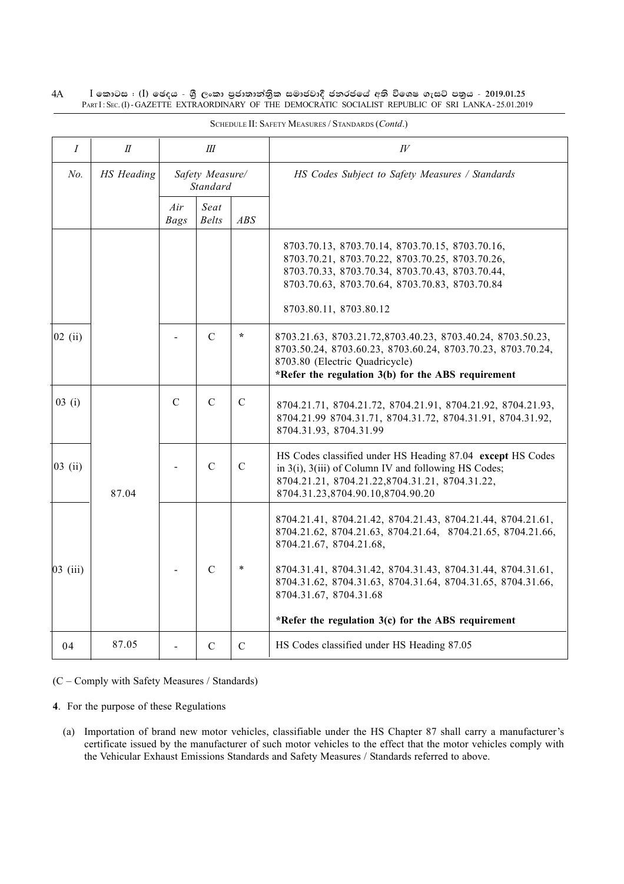#### $4A$  $I$  කොටස : (I) ඡෙදය - ශුී ලංකා පුජාතාන්තුික සමාජවාදී ජනරජයේ අති විශෙෂ ගැසට් පතුය - 2019.01.25 PARTI: SEC. (I) - GAZETTE EXTRAORDINARY OF THE DEMOCRATIC SOCIALIST REPUBLIC OF SRI LANKA - 25.01.2019

| $\overline{I}$      | $I\!I$     | Ш                           |                      |               | $I\!V$                                                                                                                                                                                                                                                                                                        |
|---------------------|------------|-----------------------------|----------------------|---------------|---------------------------------------------------------------------------------------------------------------------------------------------------------------------------------------------------------------------------------------------------------------------------------------------------------------|
| No.                 | HS Heading | Safety Measure/<br>Standard |                      |               | HS Codes Subject to Safety Measures / Standards                                                                                                                                                                                                                                                               |
|                     |            | Air<br><b>Bags</b>          | Seat<br><b>Belts</b> | ABS           |                                                                                                                                                                                                                                                                                                               |
|                     |            |                             |                      |               | 8703.70.13, 8703.70.14, 8703.70.15, 8703.70.16,<br>8703.70.21, 8703.70.22, 8703.70.25, 8703.70.26,<br>8703.70.33, 8703.70.34, 8703.70.43, 8703.70.44,<br>8703.70.63, 8703.70.64, 8703.70.83, 8703.70.84<br>8703.80.11, 8703.80.12                                                                             |
| $ 02 \rangle$ (ii)  |            |                             | $\mathsf{C}$         | $\star$       | 8703.21.63, 8703.21.72, 8703.40.23, 8703.40.24, 8703.50.23,<br>8703.50.24, 8703.60.23, 8703.60.24, 8703.70.23, 8703.70.24,<br>8703.80 (Electric Quadricycle)<br>*Refer the regulation 3(b) for the ABS requirement                                                                                            |
| 03(i)               |            | $\mathcal{C}$               | $\mathcal{C}$        | $\mathcal{C}$ | 8704.21.71, 8704.21.72, 8704.21.91, 8704.21.92, 8704.21.93,<br>8704.21.99 8704.31.71, 8704.31.72, 8704.31.91, 8704.31.92,<br>8704.31.93, 8704.31.99                                                                                                                                                           |
| $ 03 \rangle$ (ii)  | 87.04      |                             | $\mathcal{C}$        | $\mathcal{C}$ | HS Codes classified under HS Heading 87.04 except HS Codes<br>in $3(i)$ , $3(iii)$ of Column IV and following HS Codes;<br>8704.21.21, 8704.21.22, 8704.31.21, 8704.31.22,<br>8704.31.23,8704.90.10,8704.90.20                                                                                                |
| $ 03 \rangle$ (iii) |            |                             | $\mathcal{C}$        | $\ast$        | 8704.21.41, 8704.21.42, 8704.21.43, 8704.21.44, 8704.21.61,<br>8704.21.62, 8704.21.63, 8704.21.64, 8704.21.65, 8704.21.66,<br>8704.21.67, 8704.21.68,<br>8704.31.41, 8704.31.42, 8704.31.43, 8704.31.44, 8704.31.61,<br>8704.31.62, 8704.31.63, 8704.31.64, 8704.31.65, 8704.31.66,<br>8704.31.67, 8704.31.68 |
|                     |            |                             |                      |               | *Refer the regulation $3(c)$ for the ABS requirement                                                                                                                                                                                                                                                          |
| 04                  | 87.05      |                             | $\mathcal{C}$        | $\mathcal{C}$ | HS Codes classified under HS Heading 87.05                                                                                                                                                                                                                                                                    |

SCHEDULE II: SAFETY MEASURES / STANDARDS (Contd.)

(C - Comply with Safety Measures / Standards)

4. For the purpose of these Regulations

(a) Importation of brand new motor vehicles, classifiable under the HS Chapter 87 shall carry a manufacturer's certificate issued by the manufacturer of such motor vehicles to the effect that the motor vehicles comply with the Vehicular Exhaust Emissions Standards and Safety Measures / Standards referred to above.